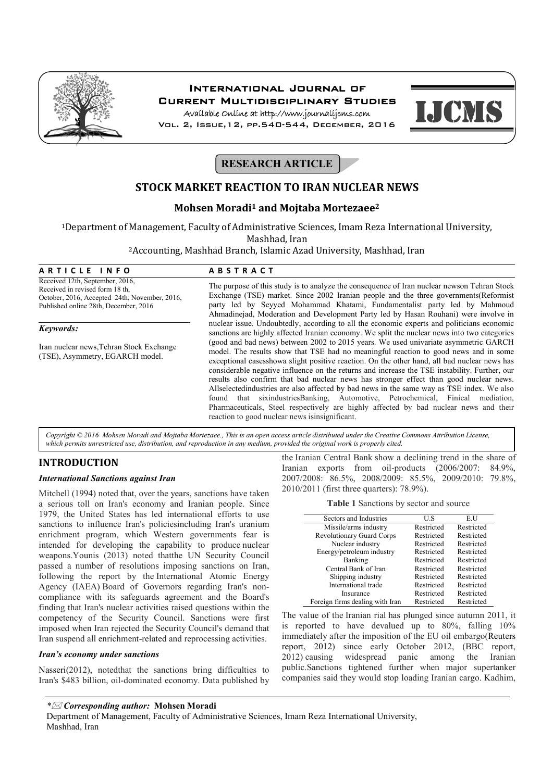

## International Journal of Current Multidisciplinary Studies

Available Online at http://www.journalijcms.com Vol. 2, Issue,12, pp.540-544, December, 2016



# **RESEARCH ARTICLE**

## **STOCK MARKET REACTION TO IRAN NUCLEAR NEWS**

## **Mohsen Moradi1 and Mojtaba Mortezaee2**

1Department of Management, Faculty of Administrative Sciences, Imam Reza International University,

Mashhad, Iran

2Accounting, Mashhad Branch, Islamic Azad University, Mashhad, Iran

| ARTICLE INFO                                                                                                                                                 | <b>ABSTRACT</b>                                                                                                                                                                                                                                                                                                                                                         |  |  |  |  |
|--------------------------------------------------------------------------------------------------------------------------------------------------------------|-------------------------------------------------------------------------------------------------------------------------------------------------------------------------------------------------------------------------------------------------------------------------------------------------------------------------------------------------------------------------|--|--|--|--|
| Received 12th, September, 2016,<br>Received in revised form 18 th.<br>October, 2016, Accepted 24th, November, 2016,<br>Published online 28th, December, 2016 | The purpose of this study is to analyze the consequence of Iran nuclear newson Tehran Stock<br>Exchange (TSE) market. Since 2002 Iranian people and the three governments (Reformist<br>party led by Seyyed Mohammad Khatami, Fundamentalist party led by Mahmoud<br>Ahmadinejad, Moderation and Development Party led by Hasan Rouhani) were involve in                |  |  |  |  |
| Keywords:                                                                                                                                                    | nuclear issue. Undoubtedly, according to all the economic experts and politicians economic<br>sanctions are highly affected Iranian economy. We split the nuclear news into two categories                                                                                                                                                                              |  |  |  |  |
| Iran nuclear news, Tehran Stock Exchange<br>(TSE), Asymmetry, EGARCH model.                                                                                  | (good and bad news) between 2002 to 2015 years. We used univariate asymmetric GARCH<br>model. The results show that TSE had no meaningful reaction to good news and in some<br>exceptional cases how a slight positive reaction. On the other hand, all bad nuclear news has                                                                                            |  |  |  |  |
|                                                                                                                                                              | considerable negative influence on the returns and increase the TSE instability. Further, our<br>results also confirm that bad nuclear news has stronger effect than good nuclear news.<br>Allselectedindustries are also affected by bad news in the same way as TSE index. We also<br>found that sixindustries Banking, Automotive, Petrochemical, Finical mediation, |  |  |  |  |
|                                                                                                                                                              | Pharmaceuticals. Steel respectively are highly affected by bad nuclear news and their                                                                                                                                                                                                                                                                                   |  |  |  |  |

*Copyright © 2016 Mohsen Moradi and Mojtaba Mortezaee., This is an open access article distributed under the Creative Commons Attribution License, which permits unrestricted use, distribution, and reproduction in any medium, provided the original work is properly cited.*

reaction to good nuclear news isinsignificant.

## **INTRODUCTION**

#### *International Sanctions against Iran*

Mitchell (1994) noted that, over the years, sanctions have taken a serious toll on Iran's economy and Iranian people. Since 1979, the United States has led international efforts to use sanctions to influence Iran's policiesincluding Iran's uranium enrichment program, which Western governments fear is intended for developing the capability to produce nuclear weapons.Younis (2013) noted that the UN Security Council passed a number of resolutions imposing sanctions on Iran, following the report by the International Atomic Energy Agency (IAEA) Board of Governors regarding Iran's noncompliance with its safeguards agreement and the Board's finding that Iran's nuclear activities raised questions within the competency of the Security Council. Sanctions were first imposed when Iran rejected the Security Council's demand that Iran suspend all enrichment-related and reprocessing activities.

#### *Iran's economy under sanctions*

Nasseri(2012), notedthat the sanctions bring difficulties to Iran's \$483 billion, oil-dominated economy. Data published by the Iranian Central Bank show a declining trend in the share of Iranian exports from oil-products (2006/2007: 84.9%, 2007/2008: 86.5%, 2008/2009: 85.5%, 2009/2010: 79.8%, 2010/2011 (first three quarters): 78.9%).

**Table 1** Sanctions by sector and source

| Sectors and Industries           | US         | EU         |
|----------------------------------|------------|------------|
| Missile/arms industry            | Restricted | Restricted |
| <b>Revolutionary Guard Corps</b> | Restricted | Restricted |
| Nuclear industry                 | Restricted | Restricted |
| Energy/petroleum industry        | Restricted | Restricted |
| Banking                          | Restricted | Restricted |
| Central Bank of Iran             | Restricted | Restricted |
| Shipping industry                | Restricted | Restricted |
| International trade              | Restricted | Restricted |
| Insurance                        | Restricted | Restricted |
| Foreign firms dealing with Iran  | Restricted | Restricted |

The value of the Iranian rial has plunged since autumn 2011, it is reported to have devalued up to 80%, falling 10% immediately after the imposition of the EU oil embargo(Reuters report, 2012) since early October 2012, (BBC report, 2012) causing widespread panic among the Iranian public.Sanctions tightened further when major supertanker companies said they would stop loading Iranian cargo. Kadhim,

*\* Corresponding author:* **Mohsen Moradi**

Department of Management, Faculty of Administrative Sciences, Imam Reza International University, Mashhad, Iran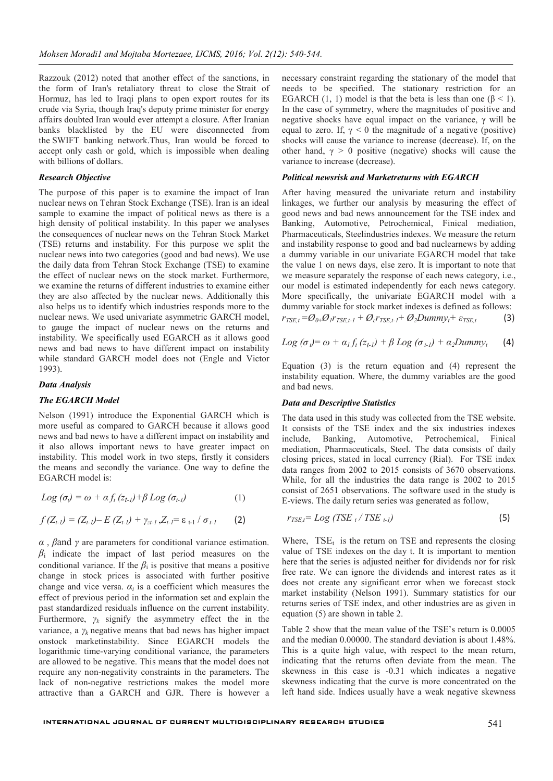Razzouk (2012) noted that another effect of the sanctions, in the form of Iran's retaliatory threat to close the Strait of Hormuz, has led to Iraqi plans to open export routes for its crude via Syria, though Iraq's deputy prime minister for energy affairs doubted Iran would ever attempt a closure. After Iranian banks blacklisted by the EU were disconnected from the SWIFT banking network.Thus, Iran would be forced to accept only cash or gold, which is impossible when dealing with billions of dollars.

### *Research Objective*

The purpose of this paper is to examine the impact of Iran nuclear news on Tehran Stock Exchange (TSE). Iran is an ideal sample to examine the impact of political news as there is a high density of political instability. In this paper we analyses the consequences of nuclear news on the Tehran Stock Market (TSE) returns and instability. For this purpose we split the nuclear news into two categories (good and bad news). We use the daily data from Tehran Stock Exchange (TSE) to examine the effect of nuclear news on the stock market. Furthermore, we examine the returns of different industries to examine either they are also affected by the nuclear news. Additionally this also helps us to identify which industries responds more to the nuclear news. We used univariate asymmetric GARCH model, to gauge the impact of nuclear news on the returns and instability. We specifically used EGARCH as it allows good news and bad news to have different impact on instability while standard GARCH model does not (Engle and Victor 1993).

#### *Data Analysis*

#### *The EGARCH Model*

Nelson (1991) introduce the Exponential GARCH which is more useful as compared to GARCH because it allows good news and bad news to have a different impact on instability and it also allows important news to have greater impact on instability. This model work in two steps, firstly it considers the means and secondly the variance. One way to define the EGARCH model is:

$$
Log (\sigma_t) = \omega + \alpha f_t (z_{t-l}) + \beta Log (\sigma_{t-l})
$$
 (1)

$$
f(Z_{t-1}) = (Z_{t-1}) - E(Z_{t-1}) + \gamma_{zt-1}, Z_{t-1} = \varepsilon_{t-1} / \sigma_{t-1}
$$
 (2)

*α* , *β*and *γ* are parameters for conditional variance estimation. *β*<sup>i</sup> indicate the impact of last period measures on the conditional variance. If the  $\beta_i$  is positive that means a positive change in stock prices is associated with further positive change and vice versa.  $\alpha_i$  is a coefficient which measures the effect of previous period in the information set and explain the past standardized residuals influence on the current instability. Furthermore,  $\gamma_k$  signify the asymmetry effect the in the variance, a  $\gamma_k$  negative means that bad news has higher impact onstock marketinstability. Since EGARCH models the logarithmic time-varying conditional variance, the parameters are allowed to be negative. This means that the model does not require any non-negativity constraints in the parameters. The lack of non-negative restrictions makes the model more attractive than a GARCH and GJR. There is however a

necessary constraint regarding the stationary of the model that needs to be specified. The stationary restriction for an EGARCH (1, 1) model is that the beta is less than one  $(6 \le 1)$ . In the case of symmetry, where the magnitudes of positive and negative shocks have equal impact on the variance, γ will be equal to zero. If,  $\gamma$  < 0 the magnitude of a negative (positive) shocks will cause the variance to increase (decrease). If, on the other hand,  $\gamma > 0$  positive (negative) shocks will cause the variance to increase (decrease).

#### *Political newsrisk and Marketreturns with EGARCH*

After having measured the univariate return and instability linkages, we further our analysis by measuring the effect of good news and bad news announcement for the TSE index and Banking, Automotive, Petrochemical, Finical mediation, Pharmaceuticals, Steelindustries indexes. We measure the return and instability response to good and bad nuclearnews by adding a dummy variable in our univariate EGARCH model that take the value 1 on news days, else zero. It is important to note that we measure separately the response of each news category, i.e., our model is estimated independently for each news category. More specifically, the univariate EGARCH model with a dummy variable for stock market indexes is defined as follows:

$$
r_{TSE,t} = \mathcal{O}_{0+} \mathcal{O}_1 r_{TSE,t-1} + \mathcal{O}_{\varepsilon} r_{TSE,t-1} + \mathcal{O}_2 Dummy_t + \varepsilon_{TSE,t}
$$
(3)

$$
Log (\sigma_i) = \omega + \alpha_1 f_t (z_{t-1}) + \beta Log (\sigma_{t-1}) + \alpha_2 Dummy_t \qquad (4)
$$

Equation (3) is the return equation and (4) represent the instability equation. Where, the dummy variables are the good and bad news.

#### *Data and Descriptive Statistics*

The data used in this study was collected from the TSE website. It consists of the TSE index and the six industries indexes include, Banking, Automotive, Petrochemical, Finical mediation, Pharmaceuticals, Steel. The data consists of daily closing prices, stated in local currency (Rial). For TSE index data ranges from 2002 to 2015 consists of 3670 observations. While, for all the industries the data range is 2002 to 2015 consist of 2651 observations. The software used in the study is E-views. The daily return series was generated as follow,

$$
r_{TSE,t} = Log (TSE_t / TSE_{t-1})
$$
\n
$$
(5)
$$

Where,  $TSE_t$  is the return on TSE and represents the closing value of TSE indexes on the day t. It is important to mention here that the series is adjusted neither for dividends nor for risk free rate. We can ignore the dividends and interest rates as it does not create any significant error when we forecast stock market instability (Nelson 1991). Summary statistics for our returns series of TSE index, and other industries are as given in equation (5) are shown in table 2.

Table 2 show that the mean value of the TSE's return is 0.0005 and the median 0.00000. The standard deviation is about 1.48%. This is a quite high value, with respect to the mean return, indicating that the returns often deviate from the mean. The skewness in this case is -0.31 which indicates a negative skewness indicating that the curve is more concentrated on the left hand side. Indices usually have a weak negative skewness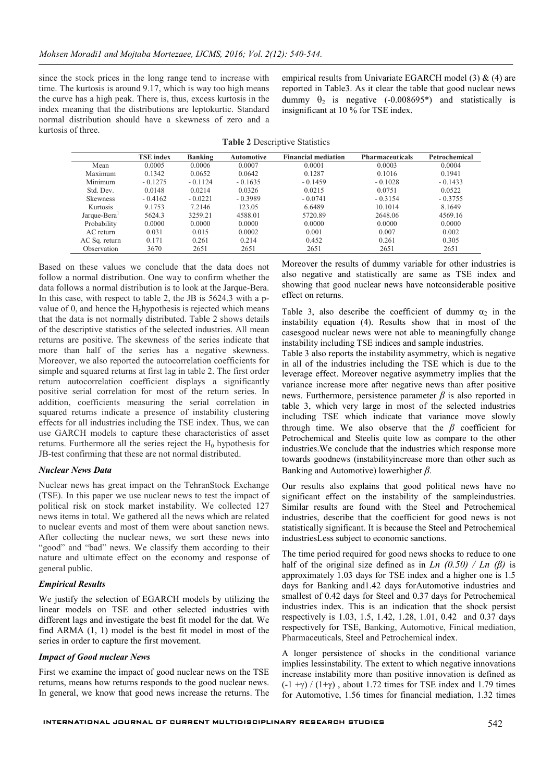since the stock prices in the long range tend to increase with time. The kurtosis is around 9.17, which is way too high means the curve has a high peak. There is, thus, excess kurtosis in the index meaning that the distributions are leptokurtic. Standard normal distribution should have a skewness of zero and a kurtosis of three.

empirical results from Univariate EGARCH model (3)  $\&$  (4) are reported in Table3. As it clear the table that good nuclear news dummy  $\theta_2$  is negative (-0.008695\*) and statistically is insignificant at 10 % for TSE index.

|  | <b>Table 2 Descriptive Statistics</b> |  |
|--|---------------------------------------|--|
|--|---------------------------------------|--|

|                 | <b>TSE</b> index | Banking   | <b>Automotive</b> | <b>Financial mediation</b> | <b>Pharmaceuticals</b> | Petrochemical |
|-----------------|------------------|-----------|-------------------|----------------------------|------------------------|---------------|
| Mean            | 0.0005           | 0.0006    | 0.0007            | 0.0001                     | 0.0003                 | 0.0004        |
| Maximum         | 0.1342           | 0.0652    | 0.0642            | 0.1287                     | 0.1016                 | 0.1941        |
| Minimum         | $-0.1275$        | $-0.1124$ | $-0.1635$         | $-0.1459$                  | $-0.1028$              | $-0.1433$     |
| Std. Dev.       | 0.0148           | 0.0214    | 0.0326            | 0.0215                     | 0.0751                 | 0.0522        |
| <b>Skewness</b> | $-0.4162$        | $-0.0221$ | $-0.3989$         | $-0.0741$                  | $-0.3154$              | $-0.3755$     |
| Kurtosis        | 9.1753           | 7.2146    | 123.05            | 6.6489                     | 10.1014                | 8.1649        |
| Jarque-Bera     | 5624.3           | 3259.21   | 4588.01           | 5720.89                    | 2648.06                | 4569.16       |
| Probability     | 0.0000           | 0.0000    | 0.0000            | 0.0000                     | 0.0000                 | 0.0000        |
| AC return       | 0.031            | 0.015     | 0.0002            | 0.001                      | 0.007                  | 0.002         |
| AC Sq. return   | 0.171            | 0.261     | 0.214             | 0.452                      | 0.261                  | 0.305         |
| Observation     | 3670             | 2651      | 2651              | 2651                       | 2651                   | 2651          |

Based on these values we conclude that the data does not follow a normal distribution. One way to confirm whether the data follows a normal distribution is to look at the Jarque-Bera. In this case, with respect to table 2, the JB is 5624.3 with a pvalue of 0, and hence the  $H_0$ hypothesis is rejected which means that the data is not normally distributed. Table 2 shows details of the descriptive statistics of the selected industries. All mean returns are positive. The skewness of the series indicate that more than half of the series has a negative skewness. Moreover, we also reported the autocorrelation coefficients for simple and squared returns at first lag in table 2. The first order return autocorrelation coefficient displays a significantly positive serial correlation for most of the return series. In addition, coefficients measuring the serial correlation in squared returns indicate a presence of instability clustering effects for all industries including the TSE index. Thus, we can use GARCH models to capture these characteristics of asset returns. Furthermore all the series reject the  $H_0$  hypothesis for JB-test confirming that these are not normal distributed.

#### *Nuclear News Data*

Nuclear news has great impact on the TehranStock Exchange (TSE). In this paper we use nuclear news to test the impact of political risk on stock market instability. We collected 127 news items in total. We gathered all the news which are related to nuclear events and most of them were about sanction news. After collecting the nuclear news, we sort these news into "good" and "bad" news. We classify them according to their nature and ultimate effect on the economy and response of general public.

#### *Empirical Results*

We justify the selection of EGARCH models by utilizing the linear models on TSE and other selected industries with different lags and investigate the best fit model for the dat. We find ARMA (1, 1) model is the best fit model in most of the series in order to capture the first movement.

#### *Impact of Good nuclear News*

First we examine the impact of good nuclear news on the TSE returns, means how returns responds to the good nuclear news. In general, we know that good news increase the returns. The

Moreover the results of dummy variable for other industries is also negative and statistically are same as TSE index and showing that good nuclear news have notconsiderable positive effect on returns.

Table 3, also describe the coefficient of dummy  $\alpha_2$  in the instability equation (4). Results show that in most of the casesgood nuclear news were not able to meaningfully change instability including TSE indices and sample industries.

Table 3 also reports the instability asymmetry, which is negative in all of the industries including the TSE which is due to the leverage effect. Moreover negative asymmetry implies that the variance increase more after negative news than after positive news. Furthermore, persistence parameter *β* is also reported in table 3, which very large in most of the selected industries including TSE which indicate that variance move slowly through time. We also observe that the  $\beta$  coefficient for Petrochemical and Steelis quite low as compare to the other industries.We conclude that the industries which response more towards goodnews (instabilityincrease more than other such as Banking and Automotive) lowerhigher *β*.

Our results also explains that good political news have no significant effect on the instability of the sampleindustries. Similar results are found with the Steel and Petrochemical industries, describe that the coefficient for good news is not statistically significant. It is because the Steel and Petrochemical industriesLess subject to economic sanctions.

The time period required for good news shocks to reduce to one half of the original size defined as in *Ln (0.50) / Ln (β)* is approximately 1.03 days for TSE index and a higher one is 1.5 days for Banking and1.42 days forAutomotive industries and smallest of 0.42 days for Steel and 0.37 days for Petrochemical industries index. This is an indication that the shock persist respectively is 1.03, 1.5, 1.42, 1.28, 1.01, 0.42 and 0.37 days respectively for TSE, Banking, Automotive, Finical mediation, Pharmaceuticals, Steel and Petrochemical index.

A longer persistence of shocks in the conditional variance implies lessinstability. The extent to which negative innovations increase instability more than positive innovation is defined as  $(-1 + \gamma) / (1 + \gamma)$ , about 1.72 times for TSE index and 1.79 times for Automotive, 1.56 times for financial mediation, 1.32 times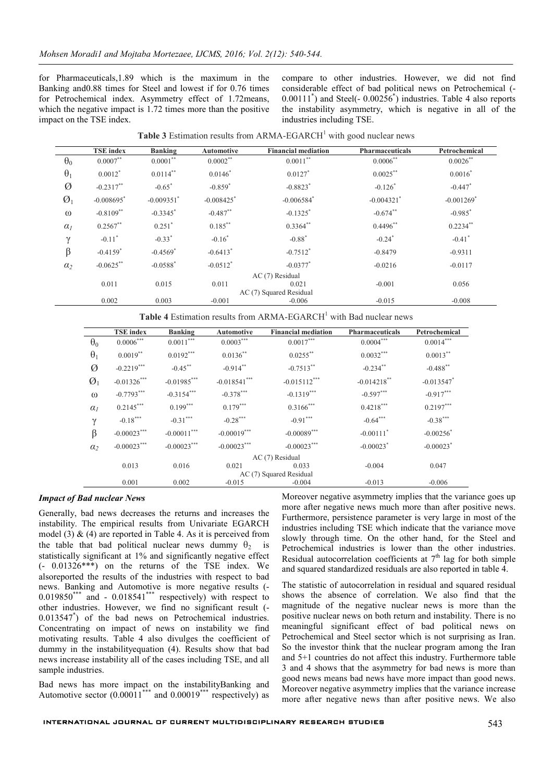for Pharmaceuticals,1.89 which is the maximum in the Banking and0.88 times for Steel and lowest if for 0.76 times for Petrochemical index. Asymmetry effect of 1.72means, which the negative impact is 1.72 times more than the positive impact on the TSE index.

compare to other industries. However, we did not find considerable effect of bad political news on Petrochemical (- 0.00111<sup>\*</sup>) and Steel(- 0.00256<sup>\*</sup>) industries. Table 4 also reports the instability asymmetry, which is negative in all of the industries including TSE.

|               | <b>TSE</b> index         | <b>Banking</b>           | <b>Automotive</b>        | <b>Financial mediation</b> | <b>Pharmaceuticals</b>   | Petrochemical            |
|---------------|--------------------------|--------------------------|--------------------------|----------------------------|--------------------------|--------------------------|
| $\theta_0$    | $0.0007$ **              | $0.0001$ **              | $0.0002$ <sup>**</sup>   | $0.0011$ <sup>**</sup>     | $0.0006$ <sup>**</sup>   | $0.0026$ **              |
| $\theta_1$    | $0.0012$ <sup>*</sup>    | $0.0114$ **              | $0.0146^*$               | $0.0127$ *                 | $0.0025$ **              | $0.0016^*$               |
| Ø             | $-0.2317$ **             | $-0.65$ <sup>*</sup>     | $-0.859$ <sup>*</sup>    | $-0.8823$ <sup>*</sup>     | $-0.126$ <sup>*</sup>    | $-0.447$ <sup>*</sup>    |
| $\emptyset_1$ | $-0.008695$ <sup>*</sup> | $-0.009351$ <sup>*</sup> | $-0.008425$ <sup>*</sup> | $-0.006584$ <sup>*</sup>   | $-0.004321$ <sup>*</sup> | $-0.001269$ <sup>*</sup> |
| $\omega$      | $-0.8109**$              | $-0.3345$ <sup>*</sup>   | $-0.487$ **              | $-0.1325$ <sup>*</sup>     | $-0.674$ **              | $-0.985$ <sup>*</sup>    |
| $\alpha_I$    | $0.2567$ **              | $0.251$ <sup>*</sup>     | $0.185***$               | $0.3364$ **                | $0.4496$ **              | $0.2234***$              |
| $\gamma$      | $-0.11$ <sup>*</sup>     | $-0.33$ <sup>*</sup>     | $-0.16^*$                | $-0.88$ <sup>*</sup>       | $-0.24$ <sup>*</sup>     | $-0.41$ <sup>*</sup>     |
| $\beta$       | $-0.4159$ <sup>*</sup>   | $-0.4569$ <sup>*</sup>   | $-0.6413$ <sup>*</sup>   | $-0.7512$ <sup>*</sup>     | $-0.8479$                | $-0.9311$                |
| $\alpha_2$    | $-0.0625$ **             | $-0.0588$ <sup>*</sup>   | $-0.0512$ <sup>*</sup>   | $-0.0377$ <sup>*</sup>     | $-0.0216$                | $-0.0117$                |
|               | $AC(7)$ Residual         |                          |                          |                            |                          |                          |
|               | 0.011                    | 0.015                    | 0.011                    | 0.021                      | $-0.001$                 | 0.056                    |
|               |                          |                          |                          | AC (7) Squared Residual    |                          |                          |
|               | 0.002                    | 0.003                    | $-0.001$                 | $-0.006$                   | $-0.015$                 | $-0.008$                 |

**Table 3** Estimation results from ARMA-EGARCH $^1$  with good nuclear news

Table 4 Estimation results from ARMA-EGARCH<sup>1</sup> with Bad nuclear news

|                 | <b>TSE</b> index        | Banking       | <b>Automotive</b> | <b>Financial mediation</b> | <b>Pharmaceuticals</b>  | Petrochemical            |  |  |
|-----------------|-------------------------|---------------|-------------------|----------------------------|-------------------------|--------------------------|--|--|
| $\theta_0$      | $0.0006***$             | $0.0011***$   | $0.0003***$       | $0.0017***$                | $0.0004***$             | $0.0014***$              |  |  |
| $\theta_1$      | $0.0019$ **             | $0.0192***$   | $0.0136$ **       | $0.0255***$                | $0.0032***$             | $0.0013***$              |  |  |
| Ø               | $-0.2219***$            | $-0.45$ **    | $-0.914**$        | $-0.7513**$                | $-0.234$ **             | $-0.488$ **              |  |  |
| $\emptyset_1$   | $-0.01326***$           | $-0.01985***$ | $-0.018541***$    | $-0.015112***$             | $-0.014218$ **          | $-0.013547$ <sup>*</sup> |  |  |
| $\omega$        | $-0.7793***$            | $-0.3154***$  | $-0.378***$       | $-0.1319***$               | $-0.597***$             | $-0.917***$              |  |  |
| $\alpha_I$      | $0.2145***$             | $0.199***$    | $0.179***$        | $0.3166***$                | $0.4218***$             | $0.2197***$              |  |  |
| $\gamma$        | $-0.18***$              | $-0.31***$    | $-0.28***$        | $-0.91***$                 | $-0.64***$              | $-0.38***$               |  |  |
| $\beta$         | $-0.00023***$           | $-0.00011***$ | $-0.00019***$     | $-0.00089***$              | $-0.00111$ <sup>*</sup> | $-0.00256$ <sup>*</sup>  |  |  |
| $\alpha_2$      | $-0.00023***$           | $-0.00023***$ | $-0.00023***$     | $-0.00023***$              | $-0.00023$ <sup>*</sup> | $-0.00023$ <sup>*</sup>  |  |  |
| AC (7) Residual |                         |               |                   |                            |                         |                          |  |  |
|                 | 0.013                   | 0.016         | 0.021             | 0.033                      | $-0.004$                | 0.047                    |  |  |
|                 | AC (7) Squared Residual |               |                   |                            |                         |                          |  |  |
|                 | 0.001                   | 0.002         | $-0.015$          | $-0.004$                   | $-0.013$                | $-0.006$                 |  |  |

#### *Impact of Bad nuclear News*

Generally, bad news decreases the returns and increases the instability. The empirical results from Univariate EGARCH model (3)  $\&$  (4) are reported in Table 4. As it is perceived from the table that bad political nuclear news dummy  $\theta_2$  is statistically significant at 1% and significantly negative effect (- 0.01326\*\*\*) on the returns of the TSE index. We alsoreported the results of the industries with respect to bad news. Banking and Automotive is more negative results (-  $0.019850***$  and  $-0.018541***$  respectively) with respect to other industries. However, we find no significant result (- 0.013547\* ) of the bad news on Petrochemical industries. Concentrating on impact of news on instability we find motivating results. Table 4 also divulges the coefficient of dummy in the instabilityequation (4). Results show that bad news increase instability all of the cases including TSE, and all sample industries.

Bad news has more impact on the instabilityBanking and Automotive sector  $(0.00011^{***}$  and  $0.00019^{***}$  respectively) as Moreover negative asymmetry implies that the variance goes up more after negative news much more than after positive news. Furthermore, persistence parameter is very large in most of the industries including TSE which indicate that the variance move slowly through time. On the other hand, for the Steel and Petrochemical industries is lower than the other industries. Residual autocorrelation coefficients at  $7<sup>th</sup>$  lag for both simple and squared standardized residuals are also reported in table 4.

The statistic of autocorrelation in residual and squared residual shows the absence of correlation. We also find that the magnitude of the negative nuclear news is more than the positive nuclear news on both return and instability. There is no meaningful significant effect of bad political news on Petrochemical and Steel sector which is not surprising as Iran. So the investor think that the nuclear program among the Iran and 5+1 countries do not affect this industry. Furthermore table 3 and 4 shows that the asymmetry for bad news is more than good news means bad news have more impact than good news. Moreover negative asymmetry implies that the variance increase more after negative news than after positive news. We also